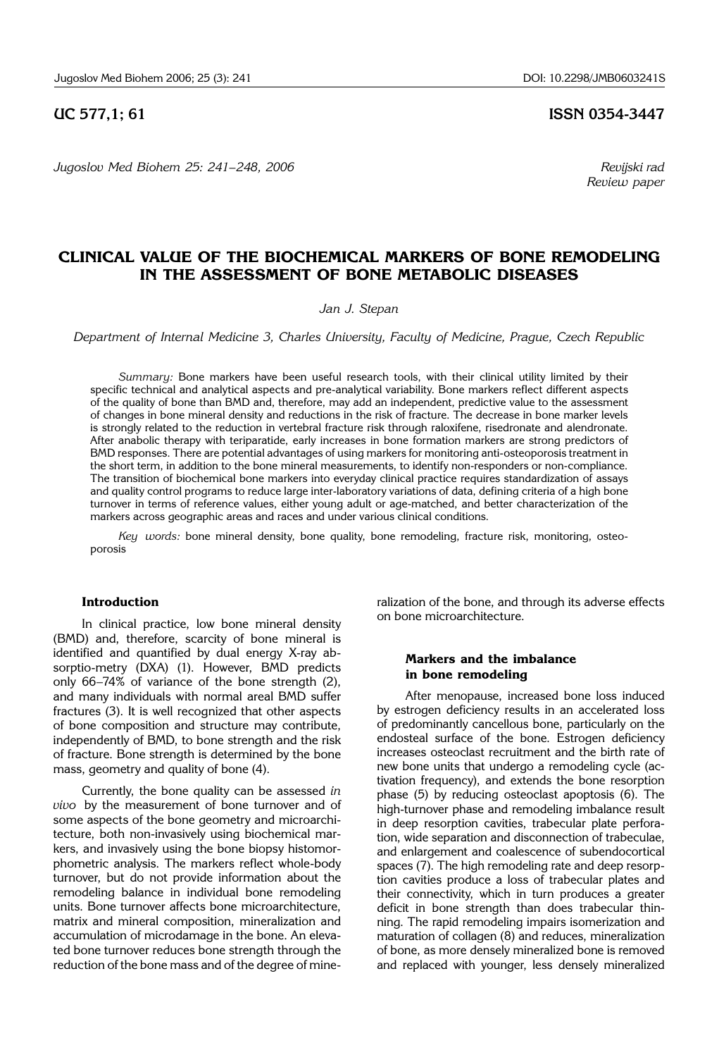*Jugoslov Med Biohem 25: 241*–*248, 2006 Revijski rad*

# **UC 577,1; 61 ISSN 0354-3447**

 *Review paper*

# **CLINICAL VALUE OF THE BIOCHEMICAL MARKERS OF BONE REMODELING IN THE ASSESSMENT OF BONE METABOLIC DISEASES**

*Jan J. Stepan*

*Department of Internal Medicine 3, Charles University, Faculty of Medicine, Prague, Czech Republic*

*Summary:* Bone markers have been useful research tools, with their clinical utility limited by their specific technical and analytical aspects and pre-analytical variability. Bone markers reflect different aspects of the quality of bone than BMD and, therefore, may add an independent, predictive value to the assessment of changes in bone mineral density and reductions in the risk of fracture. The decrease in bone marker levels is strongly related to the reduction in vertebral fracture risk through raloxifene, risedronate and alendronate. After anabolic therapy with teriparatide, early increases in bone formation markers are strong predictors of BMD responses. There are potential advantages of using markers for monitoring anti-osteoporosis treatment in the short term, in addition to the bone mineral measurements, to identify non-responders or non-compliance. The transition of biochemical bone markers into everyday clinical practice requires standardization of assays and quality control programs to reduce large inter-laboratory variations of data, defining criteria of a high bone turnover in terms of reference values, either young adult or age-matched, and better characterization of the markers across geographic areas and races and under various clinical conditions.

Key words: bone mineral density, bone quality, bone remodeling, fracture risk, monitoring, osteoporosis

#### **Introduction**

In clinical practice, low bone mineral density (BMD) and, therefore, scarcity of bone mineral is identified and quantified by dual energy X-ray absorptio-metry (DXA) (1). However, BMD predicts only  $66-74\%$  of variance of the bone strength (2), and many individuals with normal areal BMD suffer fractures (3). It is well recognized that other aspects of bone composition and structure may contribute, independently of BMD, to bone strength and the risk of fracture. Bone strength is determined by the bone mass, geometry and quality of bone (4).

Currently, the bone quality can be assessed *in vivo* by the measurement of bone turnover and of some aspects of the bone geometry and microarchitecture, both non-invasively using biochemical markers, and invasively using the bone biopsy histomorphometric analysis. The markers reflect whole-body turnover, but do not provide information about the remodeling balance in individual bone remodeling units. Bone turnover affects bone microarchitecture, matrix and mineral composition, mineralization and accumulation of microdamage in the bone. An elevated bone turnover reduces bone strength through the reduction of the bone mass and of the degree of mineralization of the bone, and through its adverse effects on bone microarchitecture.

## **Markers and the imbalance in bone remodeling**

After menopause, increased bone loss induced by estrogen deficiency results in an accelerated loss of predominantly cancellous bone, particularly on the endosteal surface of the bone. Estrogen deficiency increases osteoclast recruitment and the birth rate of new bone units that undergo a remodeling cycle (activation frequency), and extends the bone resorption phase (5) by reducing osteoclast apoptosis (6). The high-turnover phase and remodeling imbalance result in deep resorption cavities, trabecular plate perforation, wide separation and disconnection of trabeculae, and enlargement and coalescence of subendocortical spaces (7). The high remodeling rate and deep resorption cavities produce a loss of trabecular plates and their connectivity, which in turn produces a greater deficit in bone strength than does trabecular thinning. The rapid remodeling impairs isomerization and maturation of collagen (8) and reduces, mineralization of bone, as more densely mineralized bone is removed and replaced with younger, less densely mineralized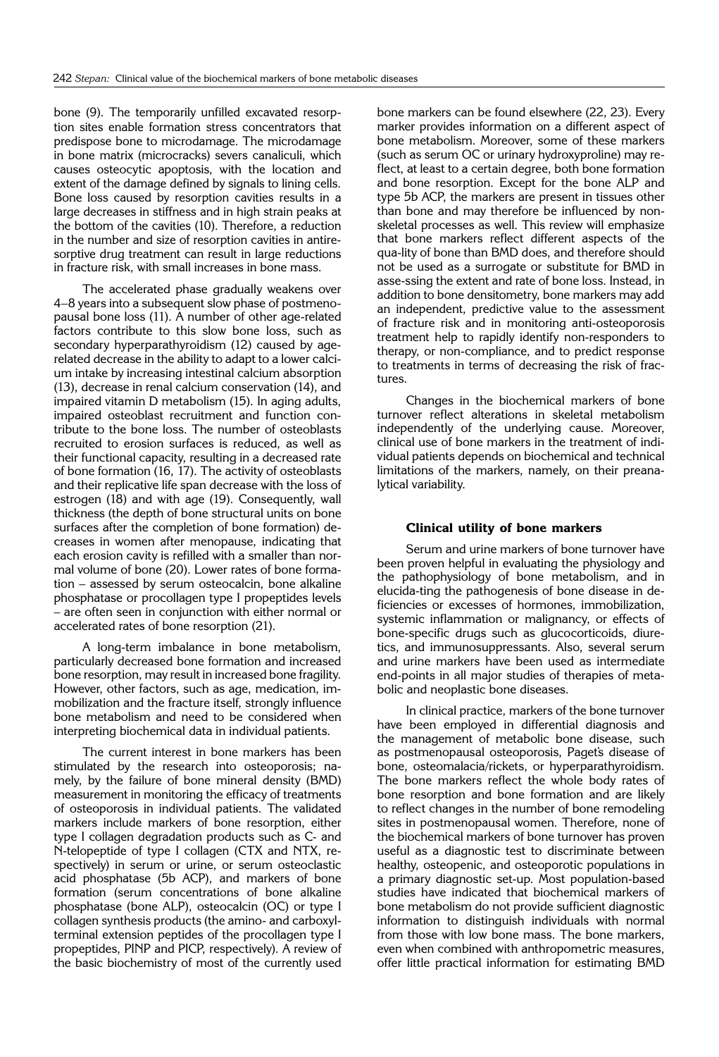bone (9). The temporarily unfilled excavated resorption sites enable formation stress concentrators that predispose bone to microdamage. The microdamage in bone matrix (microcracks) severs canaliculi, which causes osteocytic apoptosis, with the location and extent of the damage defined by signals to lining cells. Bone loss caused by resorption cavities results in a large decreases in stiffness and in high strain peaks at the bottom of the cavities (10). Therefore, a reduction in the number and size of resorption cavities in antiresorptive drug treatment can result in large reductions in fracture risk, with small increases in bone mass.

The accelerated phase gradually weakens over 4–8 years into a subsequent slow phase of postmenopausal bone loss (11). A number of other age-related factors contribute to this slow bone loss, such as secondary hyperparathyroidism (12) caused by agerelated decrease in the ability to adapt to a lower calcium intake by increasing intestinal calcium absorption (13), decrease in renal calcium conservation (14), and impaired vitamin D metabolism (15). In aging adults, impaired osteoblast recruitment and function contribute to the bone loss. The number of osteoblasts recruited to erosion surfaces is reduced, as well as their functional capacity, resulting in a decreased rate of bone formation (16, 17). The activity of osteoblasts and their replicative life span decrease with the loss of estrogen (18) and with age (19). Consequently, wall thickness (the depth of bone structural units on bone surfaces after the completion of bone formation) decreases in women after menopause, indicating that each erosion cavity is refilled with a smaller than normal volume of bone (20). Lower rates of bone formation - assessed by serum osteocalcin, bone alkaline phosphatase or procollagen type I propeptides levels – are often seen in conjunction with either normal or accelerated rates of bone resorption (21).

A long-term imbalance in bone metabolism, particularly decreased bone formation and increased bone resorption, may result in increased bone fragility. However, other factors, such as age, medication, immobilization and the fracture itself, strongly influence bone metabolism and need to be considered when interpreting biochemical data in individual patients.

The current interest in bone markers has been stimulated by the research into osteoporosis; namely, by the failure of bone mineral density (BMD) measurement in monitoring the efficacy of treatments of osteoporosis in individual patients. The validated markers include markers of bone resorption, either type I collagen degradation products such as C- and N-telopeptide of type I collagen (CTX and NTX, respectively) in serum or urine, or serum osteoclastic acid phosphatase (5b ACP), and markers of bone formation (serum concentrations of bone alkaline phosphatase (bone ALP), osteocalcin (OC) or type I collagen synthesis products (the amino- and carboxylterminal extension peptides of the procollagen type I propeptides, PINP and PICP, respectively). A review of the basic biochemistry of most of the currently used bone markers can be found elsewhere (22, 23). Every marker provides information on a different aspect of bone metabolism. Moreover, some of these markers (such as serum OC or urinary hydroxyproline) may reflect, at least to a certain degree, both bone formation and bone resorption. Except for the bone ALP and type 5b ACP, the markers are present in tissues other than bone and may therefore be influenced by nonskeletal processes as well. This review will emphasize that bone markers reflect different aspects of the qua-lity of bone than BMD does, and therefore should not be used as a surrogate or substitute for BMD in asse-ssing the extent and rate of bone loss. Instead, in addition to bone densitometry, bone markers may add an independent, predictive value to the assessment of fracture risk and in monitoring anti-osteoporosis treatment help to rapidly identify non-responders to therapy, or non-compliance, and to predict response to treatments in terms of decreasing the risk of fractures.

Changes in the biochemical markers of bone turnover reflect alterations in skeletal metabolism independently of the underlying cause. Moreover, clinical use of bone markers in the treatment of individual patients depends on biochemical and technical limitations of the markers, namely, on their preanalytical variability.

#### **Clinical utility of bone markers**

Serum and urine markers of bone turnover have been proven helpful in evaluating the physiology and the pathophysiology of bone metabolism, and in elucida-ting the pathogenesis of bone disease in deficiencies or excesses of hormones, immobilization, systemic inflammation or malignancy, or effects of bone-specific drugs such as gluco corticoids, diuretics, and immunosuppressants. Also, several serum and urine markers have been used as intermediate end-points in all major studies of therapies of metabolic and neoplastic bone diseases.

In clinical practice, markers of the bone turnover have been employed in differential diagnosis and the management of metabolic bone disease, such as postmenopausal osteoporosis, Paget's disease of bone, osteomalacia/rickets, or hyperparathyroidism. The bone markers reflect the whole body rates of bone resorption and bone formation and are likely to reflect changes in the number of bone remodeling sites in postmenopausal women. Therefore, none of the biochemical markers of bone turnover has proven useful as a diagnostic test to discriminate between healthy, osteopenic, and osteoporotic populations in a primary diagnostic set-up. Most population-based studies have indicated that biochemical markers of bone metabolism do not provide sufficient diagnostic information to distinguish individuals with normal from those with low bone mass. The bone markers, even when combined with anthropometric measures, offer little practical information for estimating BMD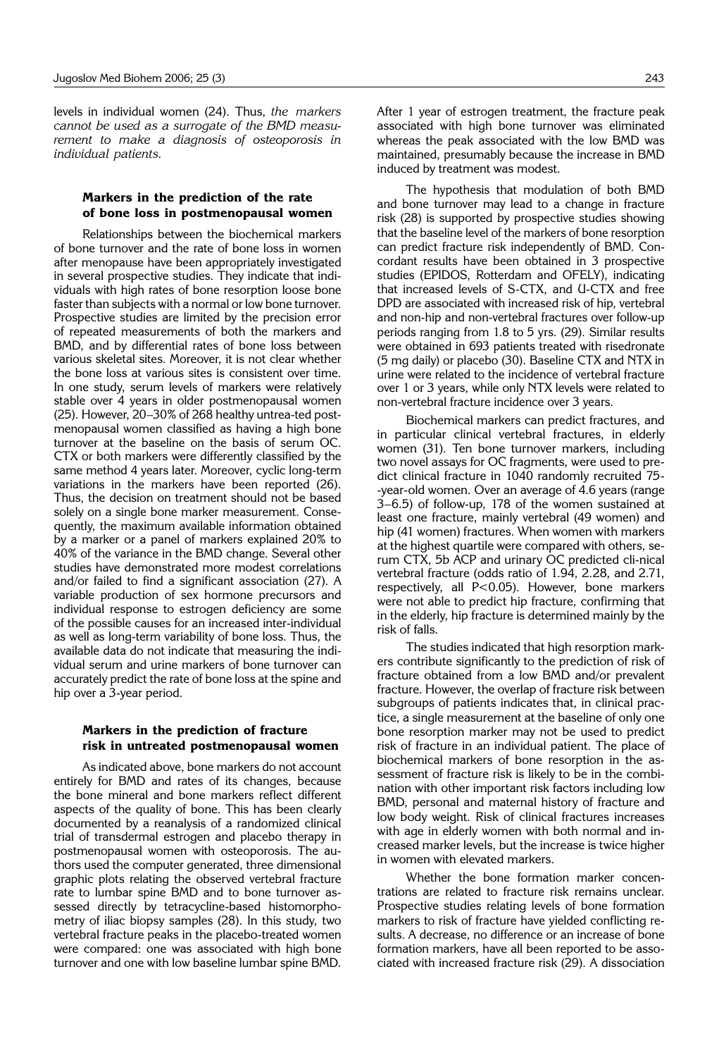le vels in individual women (24). Thus, *the markers cannot be used as a surrogate of the BMD measurement to make a diagnosis of osteoporosis in individual patients.* 

## **Markers in the prediction of the rate of bone loss in postmenopausal women**

Relationships between the biochemical markers of bone turnover and the rate of bone loss in women after menopause have been appropriately investigated in several prospective studies. They indicate that individuals with high rates of bone resorption loose bone faster than subjects with a normal or low bone turnover. Prospective studies are limited by the precision error of repeated measurements of both the markers and BMD, and by differential rates of bone loss between various skeletal sites. Moreover, it is not clear whether the bone loss at various sites is consistent over time. In one study, serum levels of markers were relatively stable over 4 years in older postmenopausal women  $(25)$ . However, 20–30% of 268 healthy untrea-ted postmenopausal women classified as having a high bone turnover at the baseline on the basis of serum OC. CTX or both markers were differently classified by the same method 4 years later. Moreover, cyclic long-term variations in the markers have been reported (26). Thus, the decision on treatment should not be based solely on a single bone marker measurement. Consequently, the maximum available information obtained by a marker or a panel of markers explained 20% to 40% of the variance in the BMD change. Several other studies have demonstrated more modest correlations and/or failed to find a significant association (27). A variable production of sex hormone precursors and individual response to estrogen deficiency are some of the possible causes for an increased inter-individual as well as long-term variability of bone loss. Thus, the available data do not indicate that measuring the individual serum and urine markers of bone turnover can accurately predict the rate of bone loss at the spine and hip over a 3-year period.

#### **Markers in the prediction of fracture risk in untreated postmenopausal women**

As indicated above, bone markers do not account entirely for BMD and rates of its changes, because the bone mineral and bone markers reflect different aspects of the quality of bone. This has been clearly documented by a reanalysis of a randomized clinical trial of transdermal estrogen and placebo therapy in postmenopausal women with osteoporosis. The authors used the computer generated, three dimensional graphic plots relating the observed vertebral fracture rate to lumbar spine BMD and to bone turnover assessed directly by tetracycline-based histomorphometry of iliac biopsy samples (28). In this study, two vertebral fracture peaks in the placebo-treated women were compared: one was associated with high bone turnover and one with low baseline lumbar spine BMD. After 1 year of estrogen treatment, the fracture peak associated with high bone turnover was eliminated whereas the peak associated with the low BMD was maintained, presumably because the increase in BMD induced by treatment was modest.

The hypothesis that modulation of both BMD and bone turnover may lead to a change in fracture risk (28) is supported by prospective studies showing that the baseline level of the markers of bone resorption can predict fracture risk independently of BMD. Concordant results have been obtained in 3 prospective studies (EPIDOS, Rotterdam and OFELY), indicating that increased levels of S-CTX, and U-CTX and free DPD are associated with increased risk of hip, vertebral and non-hip and non-vertebral fractures over follow-up periods ranging from 1.8 to 5 yrs. (29). Similar results were obtained in 693 patients treated with risedronate (5 mg daily) or placebo (30). Baseline CTX and NTX in urine were related to the incidence of vertebral fracture over 1 or 3 years, while only NTX levels were related to non-vertebral fracture incidence over 3 years.

Biochemical markers can predict fractures, and in particular clinical vertebral fractures, in elderly women (31). Ten bone turnover markers, including two novel assays for OC fragments, were used to predict clinical fracture in 1040 randomly recruited 75- -year-old women. Over an average of 4.6 years (range  $3-6.5$ ) of follow-up, 178 of the women sustained at least one fracture, mainly vertebral (49 women) and hip (41 women) fractures. When women with markers at the highest quartile were compared with others, serum CTX, 5b ACP and urinary OC predicted cli-nical vertebral fracture (odds ratio of 1.94, 2.28, and 2.71, respectively, all  $P < 0.05$ ). However, bone markers were not able to predict hip fracture, confirming that in the elderly, hip fracture is determined mainly by the risk of falls.

The studies indicated that high resorption markers contribute significantly to the prediction of risk of fracture obtained from a low BMD and/or prevalent fracture. However, the overlap of fracture risk between subgroups of patients indicates that, in clinical practice, a single measurement at the baseline of only one bone resorption marker may not be used to predict risk of fracture in an individual patient. The place of biochemical markers of bone resorption in the assessment of fracture risk is likely to be in the combination with other important risk factors including low BMD, personal and maternal history of fracture and low body weight. Risk of clinical fractures increases with age in elderly women with both normal and increased marker levels, but the increase is twice higher in women with elevated markers.

Whether the bone formation marker concentrations are related to fracture risk remains unclear. Prospective studies relating levels of bone formation markers to risk of fracture have yielded conflicting results. A decrease, no difference or an increase of bone formation markers, have all been reported to be associated with increased fracture risk (29). A dissociation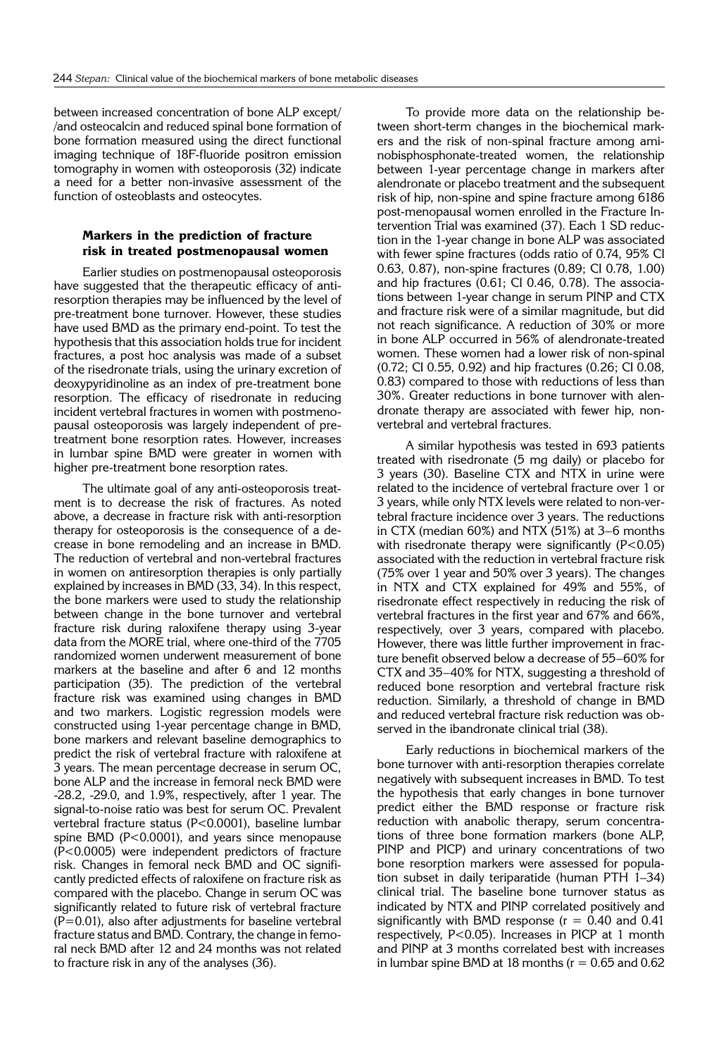between increased concentration of bone ALP except/ /and osteocalcin and reduced spinal bone formation of bone formation measured using the direct functional imaging technique of 18F-fluoride positron emission tomography in women with osteoporosis (32) indicate a need for a better non-invasive assessment of the function of osteoblasts and osteocytes.

### **Markers in the prediction of fracture risk in treated postmenopausal women**

Earlier studies on postmenopausal osteoporosis have suggested that the therapeutic efficacy of antiresorption therapies may be influenced by the level of pre-treatment bone turnover. However, these studies have used BMD as the primary end-point. To test the hypothesis that this association holds true for incident fractures, a post hoc analysis was made of a subset of the risedronate trials, using the urinary excretion of deoxypyridinoline as an index of pre-treatment bone resorption. The efficacy of risedronate in reducing incident vertebral fractures in women with postmenopausal osteoporosis was largely independent of pretreatment bone resorption rates. However, increases in lumbar spine BMD were greater in women with higher pre-treatment bone resorption rates.

The ultimate goal of any anti-osteoporosis treatment is to decrease the risk of fractures. As noted above, a decrease in fracture risk with anti-resorption therapy for osteoporosis is the consequence of a decrease in bone remodeling and an increase in BMD. The reduction of vertebral and non-vertebral fractures in women on antiresorption therapies is only partially explained by increases in BMD (33, 34). In this respect, the bone markers were used to study the relationship between change in the bone turnover and vertebral fracture risk during raloxifene therapy using 3-year data from the MORE trial, where one-third of the 7705 randomized women underwent measurement of bone markers at the baseline and after 6 and 12 months participation (35). The prediction of the vertebral fracture risk was examined using changes in BMD and two markers. Logistic regression models were constructed using 1-year percentage change in BMD, bone markers and relevant baseline demographics to predict the risk of vertebral fracture with raloxifene at 3 years. The mean percentage decrease in serum OC, bone ALP and the increase in femoral neck BMD were -28.2, -29.0, and 1.9%, respectively, after 1 year. The signal-to-noise ratio was best for serum OC. Prevalent vertebral fracture status (P<0.0001), baseline lumbar spine BMD (P<0.0001), and years since menopause (P<0.0005) were independent predictors of fracture risk. Changes in femoral neck BMD and OC significantly predicted effects of raloxifene on fracture risk as compared with the placebo. Change in serum OC was significantly related to future risk of vertebral fracture  $(P=0.01)$ , also after adjustments for baseline vertebral fracture status and BMD. Contrary, the change in femoral neck BMD after 12 and 24 months was not related to fracture risk in any of the analyses (36).

To provide more data on the relationship between short-term changes in the biochemical markers and the risk of non-spinal fracture among aminobisphosphonate-treated women, the relationship between 1-year percentage change in markers after alendronate or placebo treatment and the subsequent risk of hip, non-spine and spine fracture among 6186 post-menopausal women enrolled in the Fracture Intervention Trial was examined (37). Each 1 SD reduction in the 1-year change in bone ALP was associated with fewer spine fractures (odds ratio of 0.74, 95% CI 0.63, 0.87), non-spine fractures (0.89; CI 0.78, 1.00) and hip fractures (0.61; CI 0.46, 0.78). The associations between 1-year change in serum PINP and CTX and fracture risk were of a similar magnitude, but did not reach significance. A reduction of 30% or more in bone ALP occurred in 56% of alendronate-treated women. These women had a lower risk of non-spinal (0.72; CI 0.55, 0.92) and hip fractures (0.26; CI 0.08, 0.83) compared to those with reductions of less than 30%. Greater reductions in bone turnover with alendronate therapy are associated with fewer hip, nonvertebral and vertebral fractures.

A similar hypothesis was tested in 693 patients treated with risedronate (5 mg daily) or placebo for 3 years (30). Baseline CTX and NTX in urine were related to the incidence of vertebral fracture over 1 or 3 years, while only NTX levels were related to non-vertebral fracture incidence over 3 years. The reductions in CTX (median  $60\%$ ) and NTX (51%) at 3–6 months with risedronate therapy were significantly  $(P<0.05)$ associated with the reduction in vertebral fracture risk (75% over 1 year and 50% over 3 years). The changes in NTX and CTX explained for 49% and 55%, of risedronate effect respectively in reducing the risk of vertebral fractures in the first year and 67% and 66%, respectively, over 3 years, compared with placebo. However, there was little further improvement in fracture benefit observed below a decrease of 55-60% for CTX and 35–40% for NTX, suggesting a threshold of reduced bone resorption and vertebral fracture risk reduction. Similarly, a threshold of change in BMD and reduced vertebral fracture risk reduction was observed in the ibandronate clinical trial (38).

Early reductions in biochemical markers of the bone turnover with anti-resorption therapies correlate negatively with subsequent increases in BMD. To test the hypothesis that early changes in bone turnover predict either the BMD response or fracture risk reduction with anabolic therapy, serum concentrations of three bone formation markers (bone ALP, PINP and PICP) and urinary concentrations of two bone resorption markers were assessed for population subset in daily teriparatide (human PTH  $1-34$ ) clinical trial. The baseline bone turnover status as indicated by NTX and PINP correlated positively and significantly with BMD response ( $r = 0.40$  and 0.41 respectively, P<0.05). Increases in PICP at 1 month and PINP at 3 months correlated best with increases in lumbar spine BMD at 18 months ( $r = 0.65$  and 0.62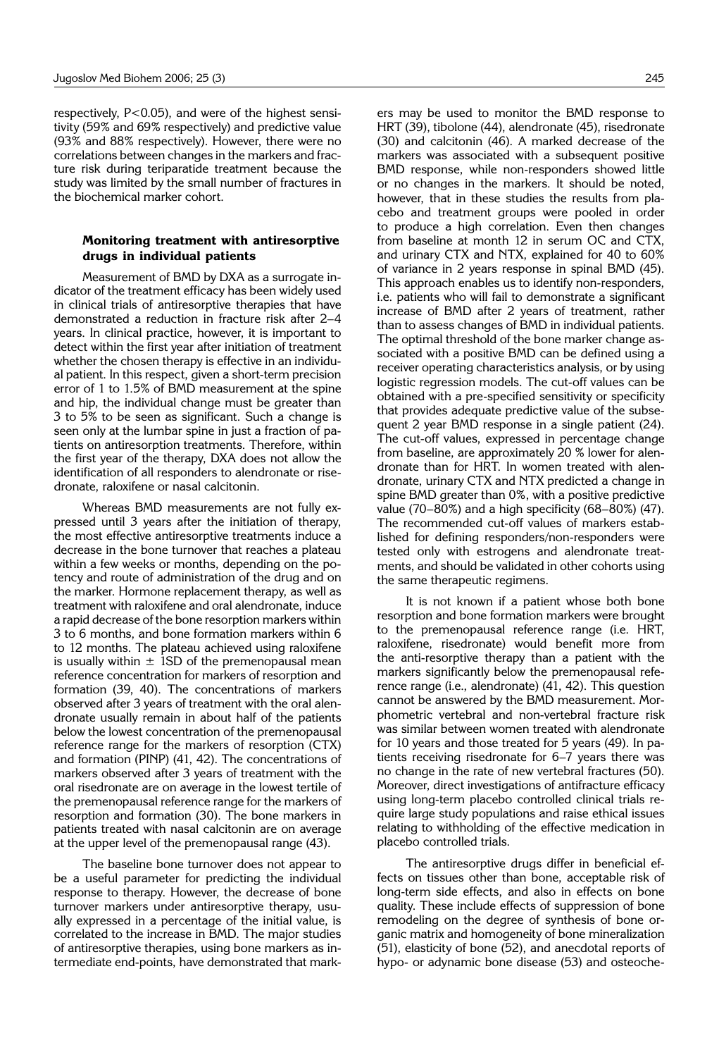respectively, P<0.05), and were of the highest sensitivity (59% and 69% respectively) and predictive value (93% and 88% respectively). However, there were no correlations between changes in the markers and fracture risk during teriparatide treatment because the study was limited by the small number of fractures in the biochemical marker cohort.

### **Monitoring treatment with antiresorptive drugs in individual patients**

Measurement of BMD by DXA as a surrogate indicator of the treatment efficacy has been widely used in clinical trials of antiresorptive therapies that have demonstrated a reduction in fracture risk after 2-4 years. In clinical practice, however, it is important to detect within the first year after initiation of treatment whether the chosen therapy is effective in an individual patient. In this respect, given a short-term precision error of 1 to 1.5% of BMD measurement at the spine and hip, the individual change must be greater than 3 to 5% to be seen as significant. Such a change is seen only at the lumbar spine in just a fraction of patients on antiresorption treatments. Therefore, within the first year of the therapy, DXA does not allow the identification of all responders to alendronate or risedronate, raloxifene or nasal calcitonin.

Whereas BMD measurements are not fully expressed until 3 years after the initiation of therapy, the most effective antiresorptive treatments induce a decrease in the bone turnover that reaches a plateau within a few weeks or months, depending on the potency and route of administration of the drug and on the marker. Hormone replacement therapy, as well as treatment with raloxifene and oral alendronate, induce a rapid decrease of the bone resorption markers within 3 to 6 months, and bone formation markers within 6 to 12 months. The plateau achieved using raloxifene is usually within  $\pm$  1SD of the premenopausal mean reference concentration for markers of resorption and formation (39, 40). The concentrations of markers observed after 3 years of treatment with the oral alendronate usually remain in about half of the patients below the lowest concentration of the premenopausal reference range for the markers of resorption (CTX) and formation (PINP) (41, 42). The concentrations of markers observed after 3 years of treatment with the oral risedronate are on average in the lowest tertile of the premenopausal reference range for the markers of resorption and formation (30). The bone markers in patients treated with nasal calcitonin are on average at the upper level of the premenopausal range (43).

The baseline bone turnover does not appear to be a useful parameter for predicting the individual response to therapy. However, the decrease of bone turnover markers under antiresorptive therapy, usually expressed in a percentage of the initial value, is correlated to the increase in BMD. The major studies of antiresorptive therapies, using bone markers as intermediate end-points, have demonstrated that markers may be used to monitor the BMD response to HRT (39), tibolone (44), alendronate (45), risedronate (30) and calcitonin (46). A marked decrease of the markers was associated with a subsequent positive BMD response, while non-responders showed little or no changes in the markers. It should be noted, however, that in these studies the results from placebo and treatment groups were pooled in order to produce a high correlation. Even then changes from baseline at month 12 in serum OC and CTX, and urinary CTX and NTX, explained for 40 to 60% of variance in 2 years response in spinal BMD (45). This approach enables us to identify non-responders, i.e. patients who will fail to demonstrate a significant increase of BMD after 2 years of treatment, rather than to assess changes of BMD in individual patients. The optimal threshold of the bone marker change associated with a positive BMD can be defined using a receiver operating characteristics analysis, or by using logistic regression models. The cut-off values can be obtained with a pre-specified sensitivity or specificity that provides adequate predictive value of the subsequent 2 year BMD response in a single patient (24). The cut-off values, expressed in percentage change from baseline, are approximately 20 % lower for alendronate than for HRT. In women treated with alendronate, urinary CTX and NTX predicted a change in spine BMD greater than 0%, with a positive predictive value (70 $-80\%$ ) and a high specificity (68 $-80\%$ ) (47). The recommended cut-off values of markers established for defining responders/non-responders were tested only with estrogens and alendronate treatments, and should be validated in other cohorts using the same therapeutic regimens.

It is not known if a patient whose both bone resorption and bone formation markers were brought to the premenopausal reference range (i.e. HRT, raloxifene, risedronate) would benefit more from the anti-resorptive therapy than a patient with the markers significantly below the premenopausal reference range (i.e., alendronate) (41, 42). This question cannot be answered by the BMD measurement. Morphometric vertebral and non-vertebral fracture risk was similar between women treated with alendronate for 10 years and those treated for 5 years (49). In patients receiving risedronate for  $6-7$  years there was no change in the rate of new vertebral fractures (50). Moreover, direct investigations of antifracture efficacy using long-term placebo controlled clinical trials require large study populations and raise ethical issues relating to withholding of the effective medication in placebo controlled trials.

The antiresorptive drugs differ in beneficial effects on tissues other than bone, acceptable risk of long-term side effects, and also in effects on bone quality. These include effects of suppression of bone remodeling on the degree of synthesis of bone organic matrix and homogeneity of bone mineralization (51), elasticity of bone (52), and anecdotal reports of hypo- or adynamic bone disease (53) and osteoche-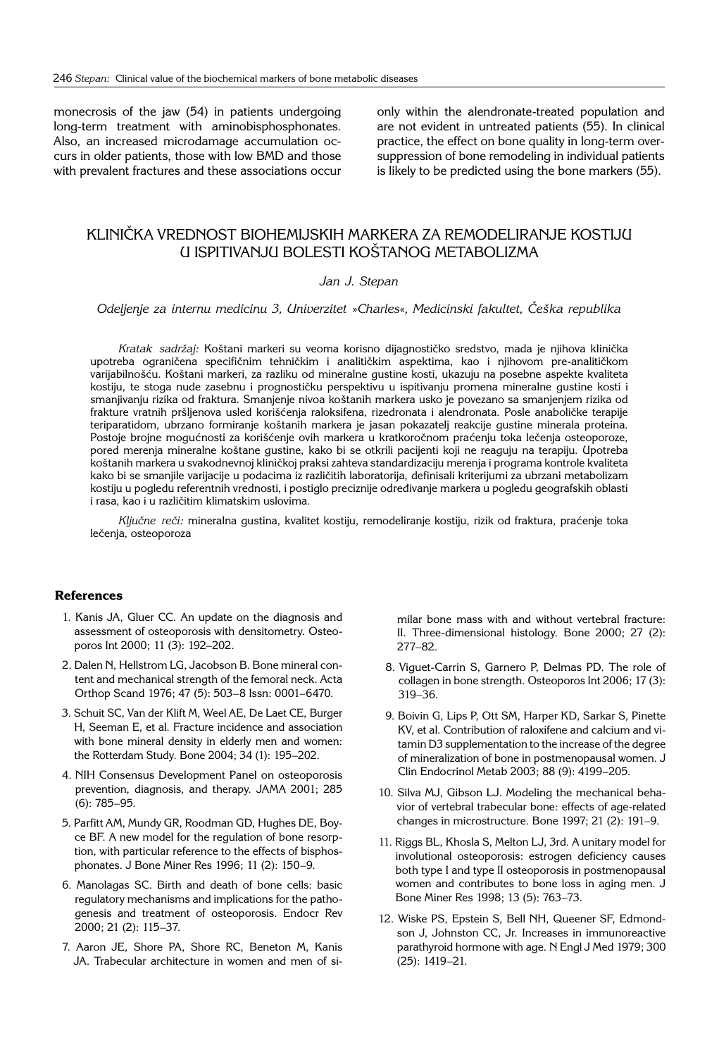monecrosis of the jaw (54) in patients undergoing long-term treatment with aminobisphosphonates. Also, an increased microdamage accumulation occurs in older patients, those with low BMD and those with prevalent fractures and these associations occur only within the alendronate-treated population and are not evident in untreated patients (55). In clinical practice, the effect on bone quality in long-term oversuppression of bone remodeling in individual patients is likely to be predicted using the bone markers (55).

# KLINI^KA VREDNOST BIOHEMIJSKIH MARKERA ZA REMODELIRANJE KOSTIJU U ISPITIVANJU BOLESTI KOŠTANOG METABOLIZMA

# *Jan J. Stepan*

*Odeljenje za internu medicinu 3, Univerzitet* »*Charles*«*, Medicinski fakultet, ^e{ka republika*

Kratak sadržaj: Koštani markeri su veoma korisno dijagnostičko sredstvo, mada je njihova klinička upotreba ograničena specifičnim tehničkim i analitičkim aspektima, kao i njihovom pre-analitičkom varijabilnošću. Koštani markeri, za razliku od mineralne gustine kosti, ukazuju na posebne aspekte kvaliteta kostiju, te stoga nude zasebnu i prognostičku perspektivu u ispitivanju promena mineralne gustine kosti i smanjivanju rizika od fraktura. Smanjenje nivoa koštanih markera usko je povezano sa smanjenjem rizika od frakture vratnih pršljenova usled korišćenja raloksifena, rizedronata i alendronata. Posle anaboličke terapije teriparatidom, ubrzano formiranje koštanih markera je jasan pokazatelj reakcije gustine minerala proteina. Postoje brojne mogućnosti za korišćenje ovih markera u kratkoročnom praćenju toka lečenja osteoporoze, pored merenja mineralne koštane gustine, kako bi se otkrili pacijenti koji ne reaguju na terapiju. Upotreba .<br>Koštanih markera u svakodnevnoj kliničkoj praksi zahteva standardizaciju merenja i programa kontrole kvaliteta kako bi se smanjile varijacije u podacima iz različitih laboratorija, definisali kriterijumi za ubrzani metabolizam kostiju u pogledu referentnih vrednosti, i postiglo preciznije određivanje markera u pogledu geografskih oblasti i rasa, kao i u različitim klimatskim uslovima.

Ključne reči: mineralna gustina, kvalitet kostiju, remodeliranje kostiju, rizik od fraktura, praćenje toka lečenja, osteoporoza

# **References**

- 1. Kanis JA, Gluer CC. An update on the diagnosis and assessment of osteoporosis with densitometry. Osteoporos Int 2000; 11 (3): 192-202.
- 2. Dalen N, Hellstrom LG, Jacobson B. Bone mineral content and mechanical strength of the femoral neck. Acta Orthop Scand 1976; 47 (5): 503-8 Issn: 0001-6470.
- 3. Schuit SC, Van der Klift M, Weel AE, De Laet CE, Burger H, Seeman E, et al. Fracture incidence and association with bone mineral density in elderly men and women: the Rotterdam Study. Bone 2004; 34 (1): 195-202.
- 4. NIH Consensus Development Panel on osteoporosis prevention, diagnosis, and therapy. JAMA 2001; 285  $(6)$ : 785-95.
- 5. Parfitt AM, Mundy GR, Roodman GD, Hughes DE, Boyce BF. A new model for the regulation of bone resorption, with particular reference to the effects of bisphosphonates. J Bone Miner Res 1996; 11 (2): 150-9.
- 6. Manolagas SC. Birth and death of bone cells: basic regulatory mechanisms and implications for the pathogenesis and treatment of osteoporosis. Endocr Rev 2000; 21 (2): 115-37.
- 7. Aaron JE, Shore PA, Shore RC, Beneton M, Kanis JA. Trabecular architecture in women and men of si-

milar bone mass with and without vertebral fracture: II. Three-dimensional histology. Bone 2000; 27 (2):  $277 - 82.$ 

- 8. Viguet-Carrin S, Garnero P, Delmas PD. The role of collagen in bone strength. Osteoporos Int 2006; 17 (3): 319-36.
- 9. Boivin G, Lips P, Ott SM, Harper KD, Sarkar S, Pinette KV, et al. Contribution of raloxifene and calcium and vitamin D3 supplementation to the increase of the degree of mineralization of bone in postmenopausal women. J Clin Endocrinol Metab 2003; 88 (9): 4199-205.
- 10. Silva MJ, Gibson LJ. Modeling the mechanical behavior of vertebral trabecular bone: effects of age-related changes in microstructure. Bone 1997; 21 (2): 191-9.
- 11. Riggs BL, Khosla S, Melton LJ, 3rd. A unitary model for involutional osteoporosis: estrogen deficiency causes both type I and type II osteoporosis in postmenopausal women and contributes to bone loss in aging men. J Bone Miner Res 1998; 13 (5): 763-73.
- 12. Wiske PS, Epstein S, Bell NH, Queener SF, Edmondson J, Johnston CC, Jr. Increases in immunoreactive parathyroid hormone with age. N Engl J Med 1979; 300 (25): 1419<sup>-21</sup>.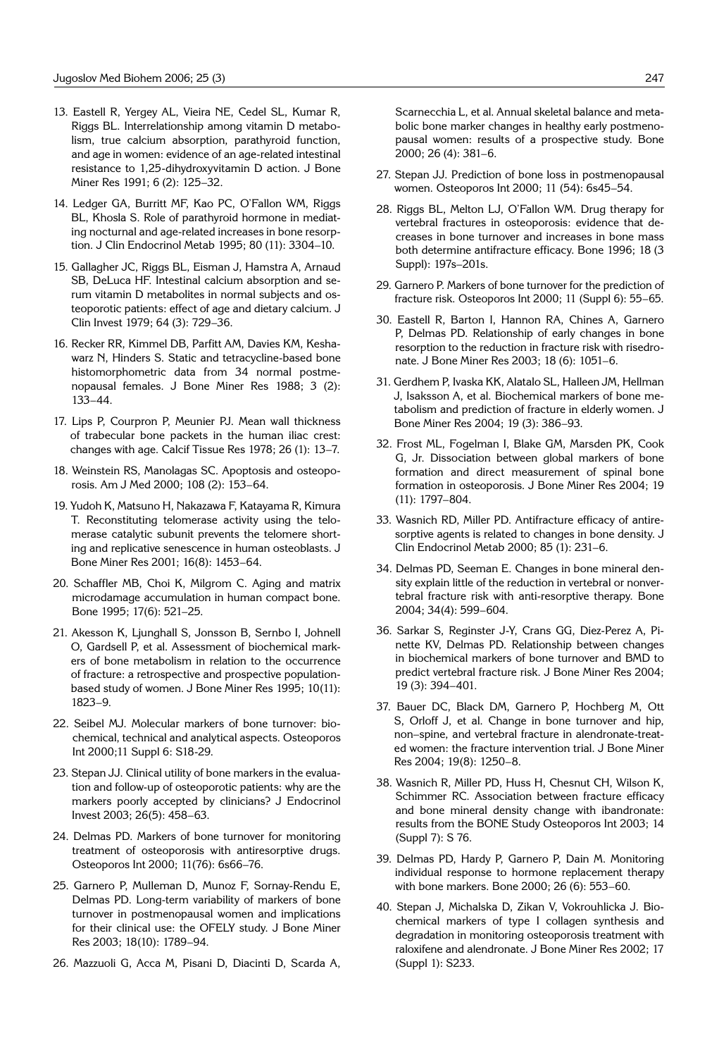- 13. Eastell R, Yergey AL, Vieira NE, Cedel SL, Kumar R, Riggs BL. Interrelationship among vitamin D metabolism, true calcium absorption, parathyroid function, and age in women: evidence of an age-related intestinal resistance to 1,25-dihydroxyvitamin D action. J Bone Miner Res 1991; 6 (2): 125-32.
- 14. Ledger GA, Burritt MF, Kao PC, O'Fallon WM, Riggs BL, Khosla S. Role of parathyroid hormone in mediating nocturnal and age-related increases in bone resorption. J Clin Endocrinol Metab 1995; 80 (11): 3304-10.
- 15. Gallagher JC, Riggs BL, Eisman J, Hamstra A, Arnaud SB, DeLuca HF. Intestinal calcium absorption and serum vitamin D metabolites in normal subjects and osteoporotic patients: effect of age and dietary calcium. J Clin Invest 1979; 64 (3): 729-36.
- 16. Recker RR, Kimmel DB, Parfitt AM, Davies KM, Keshawarz N, Hinders S. Static and tetracycline-based bone histomorphometric data from 34 normal postmenopausal females. J Bone Miner Res 1988; 3 (2): 133-44.
- 17. Lips P, Courpron P, Meunier PJ. Mean wall thickness of trabecular bone packets in the human iliac crest: changes with age. Calcif Tissue Res 1978;  $26$  (1):  $13–7$ .
- 18. Weinstein RS, Manolagas SC. Apoptosis and osteoporosis. Am J Med 2000; 108 (2): 153-64.
- 19. Yudoh K, Matsuno H, Nakazawa F, Katayama R, Kimura T. Reconstituting telomerase activity using the telomerase catalytic subunit prevents the telomere shorting and replicative senescence in human osteoblasts. J Bone Miner Res 2001; 16(8): 1453-64.
- 20. Schaffler MB, Choi K, Milgrom C. Aging and matrix microdamage accumulation in human compact bone. Bone 1995; 17(6): 521-25.
- 21. Akesson K, Ljunghall S, Jonsson B, Sernbo I, Johnell O, Gardsell P, et al. Assessment of biochemical markers of bone metabolism in relation to the occurrence of fracture: a retrospective and prospective populationbased study of women. J Bone Miner Res 1995; 10(11): 1823<sup>-9</sup>
- 22. Seibel MJ. Molecular markers of bone turnover: biochemical, technical and analytical aspects. Osteoporos Int 2000;11 Suppl 6: S18-29.
- 23. Stepan JJ. Clinical utility of bone markers in the evaluation and follow-up of osteoporotic patients: why are the markers poorly accepted by clinicians? J Endocrinol Invest 2003; 26(5): 458-63.
- 24. Delmas PD. Markers of bone turnover for monitoring treatment of osteoporosis with antiresorptive drugs. Osteoporos Int 2000; 11(76): 6s66-76.
- 25. Garnero P, Mulleman D, Munoz F, Sornay-Rendu E, Delmas PD. Long-term variability of markers of bone turnover in postmenopausal women and implications for their clinical use: the OFELY study. J Bone Miner Res 2003; 18(10): 1789-94.
- 26. Mazzuoli G, Acca M, Pisani D, Diacinti D, Scarda A,

Scarnecchia L, et al. Annual skeletal balance and metabolic bone marker changes in healthy early postmenopausal women: results of a prospective study. Bone 2000; 26 (4): 381-6.

- 27. Stepan JJ. Prediction of bone loss in postmenopausal women. Osteoporos Int 2000; 11 (54): 6s45-54.
- 28. Riggs BL, Melton LJ, O'Fallon WM. Drug therapy for vertebral fractures in osteoporosis: evidence that decreases in bone turnover and increases in bone mass both determine antifracture efficacy. Bone 1996; 18 (3 Suppl): 197s-201s.
- 29. Garnero P. Markers of bone turnover for the prediction of fracture risk. Osteoporos Int 2000; 11 (Suppl 6): 55-65.
- 30. Eastell R, Barton I, Hannon RA, Chines A, Garnero P, Delmas PD. Relationship of early changes in bone resorption to the reduction in fracture risk with risedronate. J Bone Miner Res 2003; 18 (6): 1051-6.
- 31. Gerdhem P, Ivaska KK, Alatalo SL, Halleen JM, Hellman J, Isaksson A, et al. Biochemical markers of bone metabolism and prediction of fracture in elderly women. J Bone Miner Res 2004; 19 (3): 386-93.
- 32. Frost ML, Fogelman I, Blake GM, Marsden PK, Cook G, Jr. Dissociation between global markers of bone formation and direct measurement of spinal bone formation in osteoporosis. J Bone Miner Res 2004; 19 (11): 1797-804.
- 33. Wasnich RD, Miller PD. Antifracture efficacy of antiresorptive agents is related to changes in bone density. J Clin Endocrinol Metab 2000; 85 (1): 231-6.
- 34. Delmas PD, Seeman E. Changes in bone mineral density explain little of the reduction in vertebral or nonvertebral fracture risk with anti-resorptive therapy. Bone 2004; 34(4): 599-604.
- 36. Sarkar S, Reginster J-Y, Crans GG, Diez-Perez A, Pinette KV, Delmas PD. Relationship between changes in biochemical markers of bone turnover and BMD to predict vertebral fracture risk. J Bone Miner Res 2004; 19 (3): 394-401.
- 37. Bauer DC, Black DM, Garnero P, Hochberg M, Ott S, Orloff J, et al. Change in bone turnover and hip, non-spine, and vertebral fracture in alendronate-treated women: the fracture intervention trial. J Bone Miner Res 2004; 19(8): 1250-8.
- 38. Wasnich R, Miller PD, Huss H, Chesnut CH, Wilson K, Schimmer RC. Association between fracture efficacy and bone mineral density change with ibandronate: results from the BONE Study Osteoporos Int 2003; 14 (Suppl 7): S 76.
- 39. Delmas PD, Hardy P, Garnero P, Dain M. Monitoring individual response to hormone replacement therapy with bone markers. Bone 2000; 26 (6): 553-60.
- 40. Stepan J, Michalska D, Zikan V, Vokrouhlicka J. Biochemical markers of type I collagen synthesis and degradation in monitoring osteoporosis treatment with raloxifene and alendronate. J Bone Miner Res 2002; 17 (Suppl 1): S233.